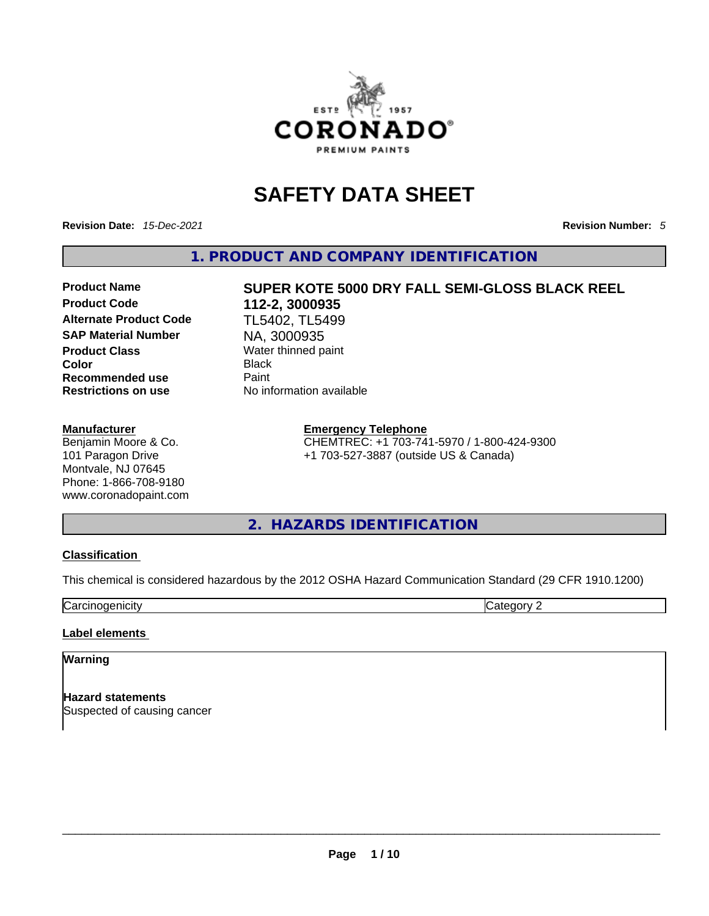

## **SAFETY DATA SHEET**

**Revision Date:** *15-Dec-2021* **Revision Number:** *5*

**1. PRODUCT AND COMPANY IDENTIFICATION** 

**Product Code 112-2, 3000935 Alternate Product Code** TL5402, TL5499 **SAP Material Number NA, 3000935**<br>**Product Class Nater thinned pays Water thinned pays Color** Black **Recommended use Paint** 

#### **Manufacturer**

Benjamin Moore & Co. 101 Paragon Drive Montvale, NJ 07645 Phone: 1-866-708-9180 www.coronadopaint.com

# **Product Name SUPER KOTE 5000 DRY FALL SEMI-GLOSS BLACK REEL**

**Water thinned paint Restrictions on use** No information available

#### **Emergency Telephone**

CHEMTREC: +1 703-741-5970 / 1-800-424-9300 +1 703-527-3887 (outside US & Canada)

**2. HAZARDS IDENTIFICATION** 

#### **Classification**

This chemical is considered hazardous by the 2012 OSHA Hazard Communication Standard (29 CFR 1910.1200)

Carcinogenicity Category 2

#### **Label elements**

#### **Warning**

**Hazard statements** Suspected of causing cancer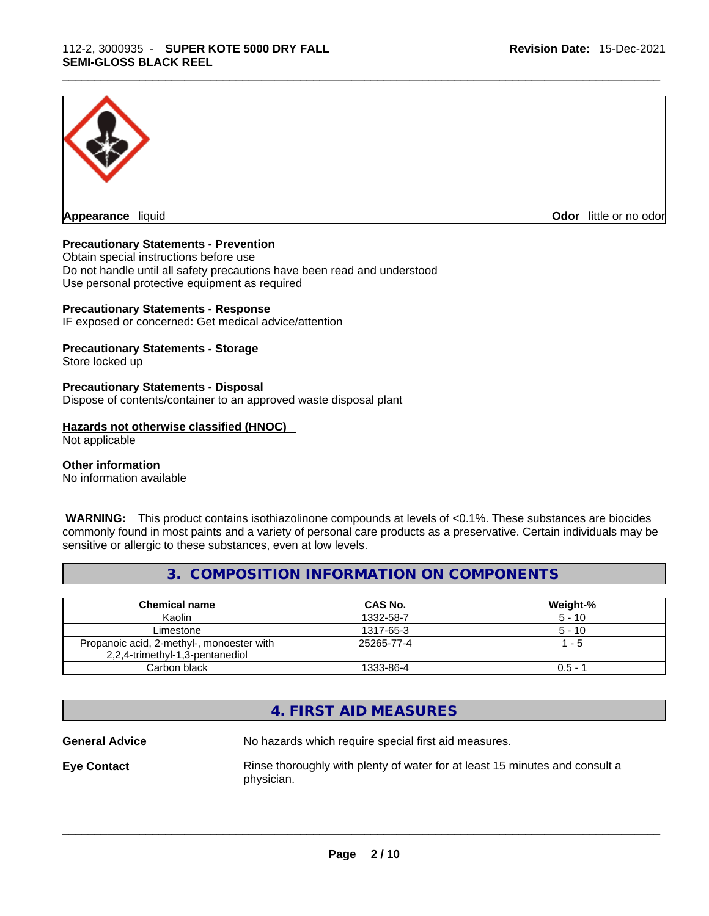

**Appearance** liquid

**Odor** little or no odor

#### **Precautionary Statements - Prevention**

Obtain special instructions before use Do not handle until all safety precautions have been read and understood Use personal protective equipment as required

#### **Precautionary Statements - Response**

IF exposed or concerned: Get medical advice/attention

#### **Precautionary Statements - Storage**

Store locked up

#### **Precautionary Statements - Disposal**

Dispose of contents/container to an approved waste disposal plant

#### **Hazards not otherwise classified (HNOC)**

Not applicable

#### **Other information**

No information available

 **WARNING:** This product contains isothiazolinone compounds at levels of <0.1%. These substances are biocides commonly found in most paints and a variety of personal care products as a preservative. Certain individuals may be sensitive or allergic to these substances, even at low levels.

#### **3. COMPOSITION INFORMATION ON COMPONENTS**

| <b>Chemical name</b>                                                         | CAS No.    | Weight-%  |
|------------------------------------------------------------------------------|------------|-----------|
| Kaolin                                                                       | 1332-58-7  | $5 - 10$  |
| Limestone                                                                    | 1317-65-3  | $5 - 10$  |
| Propanoic acid, 2-methyl-, monoester with<br>2,2,4-trimethyl-1,3-pentanediol | 25265-77-4 | $1 - 5$   |
| Carbon black                                                                 | 1333-86-4  | $0.5 - 7$ |

#### **4. FIRST AID MEASURES**

**General Advice** No hazards which require special first aid measures.

**Eye Contact Rinse thoroughly with plenty of water for at least 15 minutes and consult a** 

physician.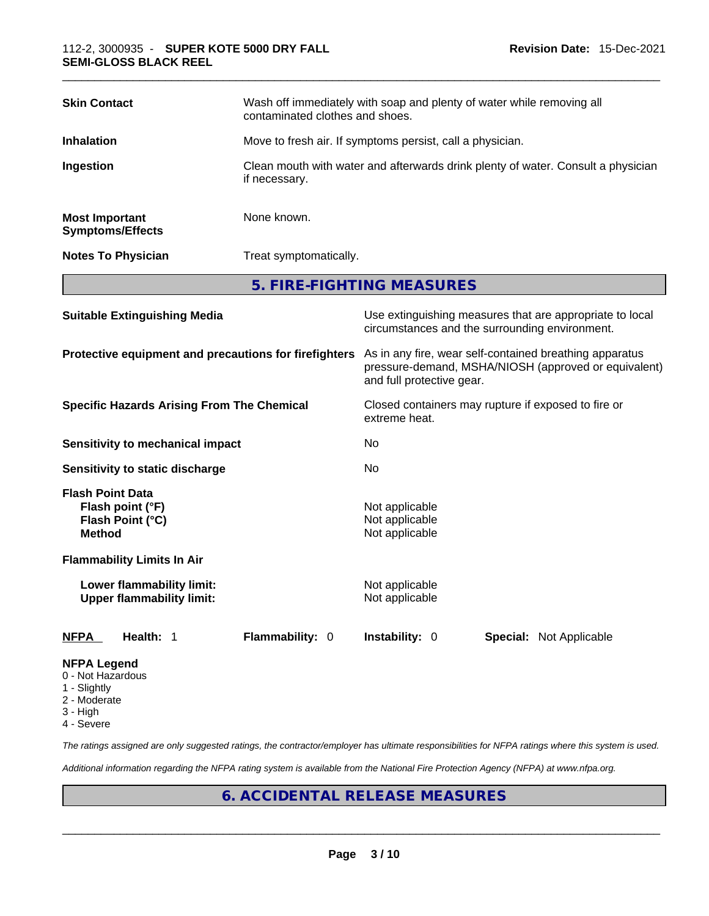| <b>Skin Contact</b>                                                              | contaminated clothes and shoes.                                                                   | Wash off immediately with soap and plenty of water while removing all                                                                        |
|----------------------------------------------------------------------------------|---------------------------------------------------------------------------------------------------|----------------------------------------------------------------------------------------------------------------------------------------------|
| <b>Inhalation</b>                                                                | Move to fresh air. If symptoms persist, call a physician.                                         |                                                                                                                                              |
| Ingestion                                                                        | Clean mouth with water and afterwards drink plenty of water. Consult a physician<br>if necessary. |                                                                                                                                              |
| <b>Most Important</b><br><b>Symptoms/Effects</b>                                 | None known.                                                                                       |                                                                                                                                              |
| <b>Notes To Physician</b>                                                        | Treat symptomatically.                                                                            |                                                                                                                                              |
|                                                                                  |                                                                                                   | 5. FIRE-FIGHTING MEASURES                                                                                                                    |
| <b>Suitable Extinguishing Media</b>                                              |                                                                                                   | Use extinguishing measures that are appropriate to local<br>circumstances and the surrounding environment.                                   |
| Protective equipment and precautions for firefighters                            |                                                                                                   | As in any fire, wear self-contained breathing apparatus<br>pressure-demand, MSHA/NIOSH (approved or equivalent)<br>and full protective gear. |
| <b>Specific Hazards Arising From The Chemical</b>                                |                                                                                                   | Closed containers may rupture if exposed to fire or<br>extreme heat.                                                                         |
| Sensitivity to mechanical impact                                                 |                                                                                                   | No                                                                                                                                           |
| Sensitivity to static discharge                                                  |                                                                                                   | No                                                                                                                                           |
| <b>Flash Point Data</b><br>Flash point (°F)<br>Flash Point (°C)<br><b>Method</b> |                                                                                                   | Not applicable<br>Not applicable<br>Not applicable                                                                                           |
| <b>Flammability Limits In Air</b>                                                |                                                                                                   |                                                                                                                                              |
| Lower flammability limit:<br><b>Upper flammability limit:</b>                    |                                                                                                   | Not applicable<br>Not applicable                                                                                                             |
| Health: 1<br><b>NFPA</b>                                                         | Flammability: 0                                                                                   | Instability: 0<br><b>Special: Not Applicable</b>                                                                                             |
| <b>NFPA Legend</b>                                                               |                                                                                                   |                                                                                                                                              |

- 0 Not Hazardous
- 1 Slightly
- 2 Moderate
- 3 High
- 4 Severe

*The ratings assigned are only suggested ratings, the contractor/employer has ultimate responsibilities for NFPA ratings where this system is used.* 

*Additional information regarding the NFPA rating system is available from the National Fire Protection Agency (NFPA) at www.nfpa.org.* 

#### **6. ACCIDENTAL RELEASE MEASURES**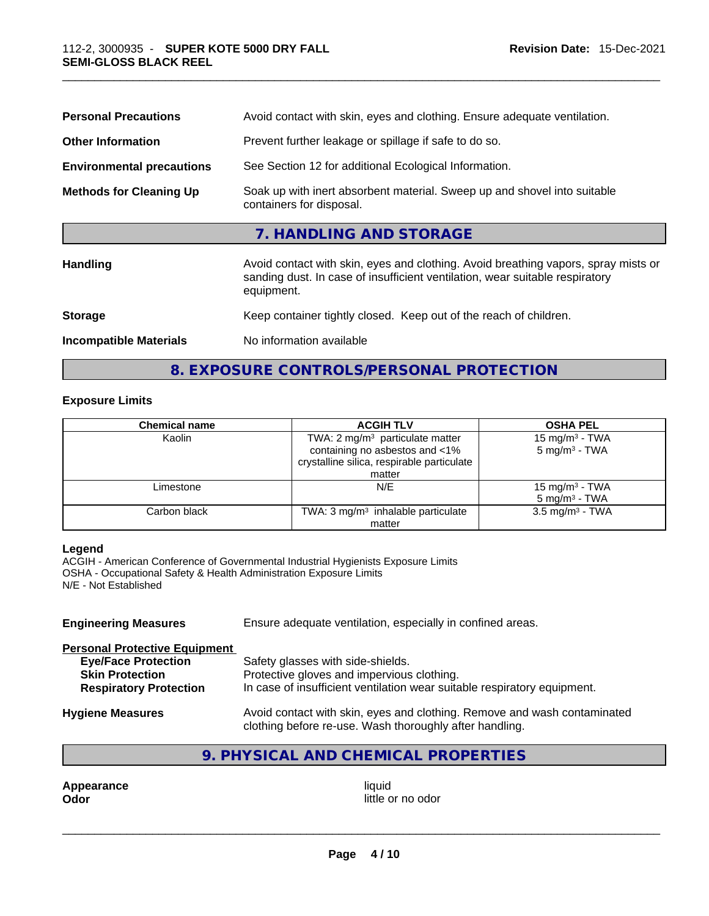| Handling                         | Avoid contact with skin, eyes and clothing. Avoid breathing vapors, spray mists or                   |
|----------------------------------|------------------------------------------------------------------------------------------------------|
|                                  |                                                                                                      |
|                                  | 7. HANDLING AND STORAGE                                                                              |
| <b>Methods for Cleaning Up</b>   | Soak up with inert absorbent material. Sweep up and shovel into suitable<br>containers for disposal. |
| <b>Environmental precautions</b> | See Section 12 for additional Ecological Information.                                                |
| <b>Other Information</b>         | Prevent further leakage or spillage if safe to do so.                                                |
| <b>Personal Precautions</b>      | Avoid contact with skin, eyes and clothing. Ensure adequate ventilation.                             |

### **8. EXPOSURE CONTROLS/PERSONAL PROTECTION**

#### **Exposure Limits**

| <b>Chemical name</b> | <b>ACGIH TLV</b>                                                                                                                     | <b>OSHA PEL</b>                                        |
|----------------------|--------------------------------------------------------------------------------------------------------------------------------------|--------------------------------------------------------|
| Kaolin               | TWA: $2 \text{ mg/m}^3$ particulate matter<br>containing no asbestos and <1%<br>crystalline silica, respirable particulate<br>matter | 15 mg/m <sup>3</sup> - TWA<br>$5 \text{ mg/m}^3$ - TWA |
| Limestone            | N/E                                                                                                                                  | 15 mg/m <sup>3</sup> - TWA<br>$5 \text{ mg/m}^3$ - TWA |
| Carbon black         | TWA: $3 \text{ mg/m}^3$ inhalable particulate<br>matter                                                                              | $3.5 \text{ mg/m}^3$ - TWA                             |

#### **Legend**

ACGIH - American Conference of Governmental Industrial Hygienists Exposure Limits OSHA - Occupational Safety & Health Administration Exposure Limits N/E - Not Established

| <b>Engineering Measures</b>          | Ensure adequate ventilation, especially in confined areas.                                                                          |  |  |
|--------------------------------------|-------------------------------------------------------------------------------------------------------------------------------------|--|--|
| <b>Personal Protective Equipment</b> |                                                                                                                                     |  |  |
| <b>Eye/Face Protection</b>           | Safety glasses with side-shields.                                                                                                   |  |  |
| <b>Skin Protection</b>               | Protective gloves and impervious clothing.                                                                                          |  |  |
| <b>Respiratory Protection</b>        | In case of insufficient ventilation wear suitable respiratory equipment.                                                            |  |  |
| <b>Hygiene Measures</b>              | Avoid contact with skin, eyes and clothing. Remove and wash contaminated<br>clothing before re-use. Wash thoroughly after handling. |  |  |

#### **9. PHYSICAL AND CHEMICAL PROPERTIES**

**Appearance** liquid **Odor** little or no odor \_\_\_\_\_\_\_\_\_\_\_\_\_\_\_\_\_\_\_\_\_\_\_\_\_\_\_\_\_\_\_\_\_\_\_\_\_\_\_\_\_\_\_\_\_\_\_\_\_\_\_\_\_\_\_\_\_\_\_\_\_\_\_\_\_\_\_\_\_\_\_\_\_\_\_\_\_\_\_\_\_\_\_\_\_\_\_\_\_\_\_\_\_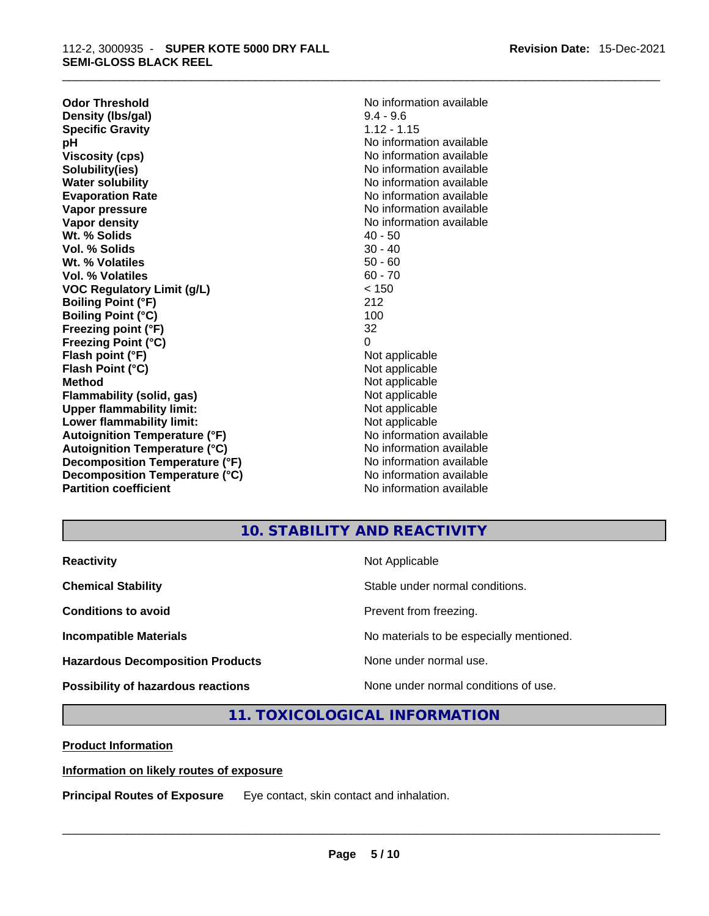**Odor Threshold** No information available **Density (Ibs/gal)** 9.4 - 9.6<br> **Specific Gravity** 1.12 - 1.15 **Specific Gravity pH bH 1 Viscosity (cps) Viscosity (cps) No information available Solubility(ies)** No information available in the solution of the solution of the solution available in the solution of the solution of the solution of the solution of the solution of the solution of the solution of the so **Water solubility No information available No information available Evaporation Rate No information available Vapor pressure No information available Vapor pressure No information available Vapor density No information available No information available Wt. % Solids** 40 - 50<br> **Vol. % Solids** 30 - 40 **Vol. % Solids Wt. % Volatiles** 50 - 60 **Vol. % Volatiles** 60 - 70 **VOC Regulatory Limit (g/L)** < 150 **Boiling Point (°F)** 212 **Boiling Point (°C)** 100 **Freezing point (°F)** 32 **Freezing Point (°C)** 0 **Flash point (°F)**<br> **Flash Point (°C)**<br> **Flash Point (°C)**<br> **C Flash Point (°C) Method** Not applicable<br> **Flammability (solid, gas)** Not applicable Not applicable **Flammability (solid, gas)** Not applicable Not applicable<br>
Upper flammability limit:<br>
Upper flammability limit: **Upper flammability limit: Lower flammability limit:**<br> **Autoianition Temperature (°F)** Not applicable Not applicable not a Not applicable **Autoignition Temperature (°F) Autoignition Temperature (°C)** No information available **Decomposition Temperature (°F)** No information available **Decomposition Temperature (°C)** No information available **Partition coefficient** No information available

**No information available** 

#### **10. STABILITY AND REACTIVITY**

| <b>Reactivity</b>                         | Not Applicable                           |
|-------------------------------------------|------------------------------------------|
| <b>Chemical Stability</b>                 | Stable under normal conditions.          |
| <b>Conditions to avoid</b>                | Prevent from freezing.                   |
| <b>Incompatible Materials</b>             | No materials to be especially mentioned. |
| <b>Hazardous Decomposition Products</b>   | None under normal use.                   |
| <b>Possibility of hazardous reactions</b> | None under normal conditions of use.     |

**11. TOXICOLOGICAL INFORMATION** 

**Product Information**

**Information on likely routes of exposure**

**Principal Routes of Exposure** Eye contact, skin contact and inhalation. \_\_\_\_\_\_\_\_\_\_\_\_\_\_\_\_\_\_\_\_\_\_\_\_\_\_\_\_\_\_\_\_\_\_\_\_\_\_\_\_\_\_\_\_\_\_\_\_\_\_\_\_\_\_\_\_\_\_\_\_\_\_\_\_\_\_\_\_\_\_\_\_\_\_\_\_\_\_\_\_\_\_\_\_\_\_\_\_\_\_\_\_\_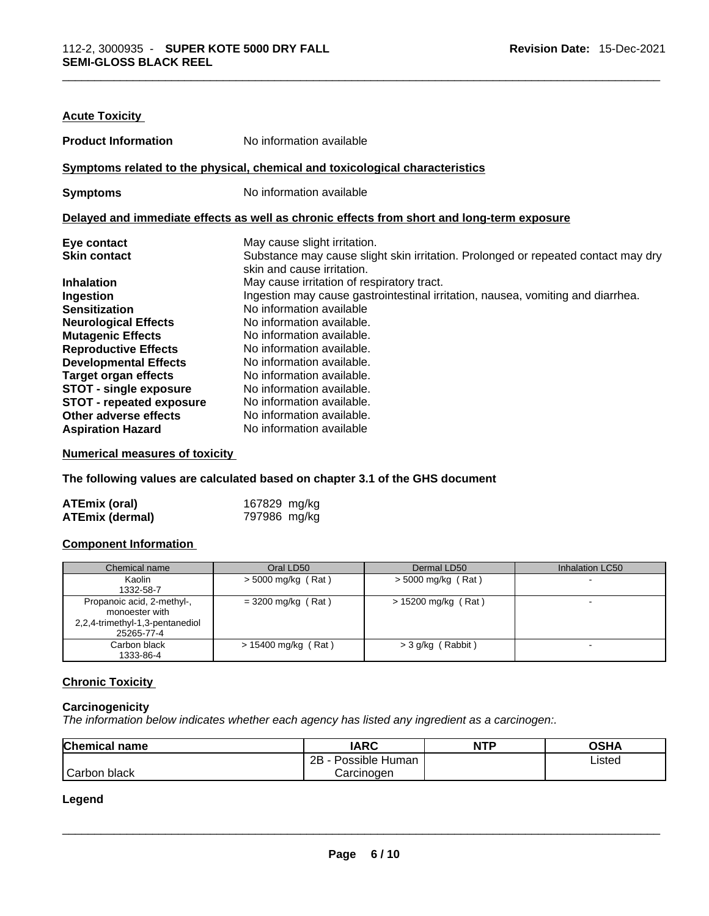| <b>Acute Toxicity</b>           |                                                                                                                 |
|---------------------------------|-----------------------------------------------------------------------------------------------------------------|
| <b>Product Information</b>      | No information available                                                                                        |
|                                 | Symptoms related to the physical, chemical and toxicological characteristics                                    |
| <b>Symptoms</b>                 | No information available                                                                                        |
|                                 | Delayed and immediate effects as well as chronic effects from short and long-term exposure                      |
| Eye contact                     | May cause slight irritation.                                                                                    |
| <b>Skin contact</b>             | Substance may cause slight skin irritation. Prolonged or repeated contact may dry<br>skin and cause irritation. |
| <b>Inhalation</b>               | May cause irritation of respiratory tract.                                                                      |
| Ingestion                       | Ingestion may cause gastrointestinal irritation, nausea, vomiting and diarrhea.                                 |
| <b>Sensitization</b>            | No information available                                                                                        |
| <b>Neurological Effects</b>     | No information available.                                                                                       |
| <b>Mutagenic Effects</b>        | No information available.                                                                                       |
| <b>Reproductive Effects</b>     | No information available.                                                                                       |
| <b>Developmental Effects</b>    | No information available.                                                                                       |
| <b>Target organ effects</b>     | No information available.                                                                                       |
| <b>STOT - single exposure</b>   | No information available.                                                                                       |
| <b>STOT - repeated exposure</b> | No information available.                                                                                       |
| Other adverse effects           | No information available.                                                                                       |
| <b>Aspiration Hazard</b>        | No information available                                                                                        |

**Numerical measures of toxicity**

**The following values are calculated based on chapter 3.1 of the GHS document**

| <b>ATEmix (oral)</b>   | 167829 mg/kg |
|------------------------|--------------|
| <b>ATEmix (dermal)</b> | 797986 mg/kg |

#### **Component Information**

| Chemical name                                                                                 | Oral LD50             | Dermal LD50           | Inhalation LC50          |
|-----------------------------------------------------------------------------------------------|-----------------------|-----------------------|--------------------------|
| Kaolin<br>1332-58-7                                                                           | $>$ 5000 mg/kg (Rat)  | $>$ 5000 mg/kg (Rat)  | $\overline{\phantom{a}}$ |
| Propanoic acid, 2-methyl-,<br>monoester with<br>2,2,4-trimethyl-1,3-pentanediol<br>25265-77-4 | $= 3200$ mg/kg (Rat)  | $> 15200$ mg/kg (Rat) | $\overline{\phantom{a}}$ |
| Carbon black<br>1333-86-4                                                                     | $> 15400$ mg/kg (Rat) | > 3 g/kg (Rabbit)     |                          |

#### **Chronic Toxicity**

#### **Carcinogenicity**

*The information below indicates whether each agency has listed any ingredient as a carcinogen:.* 

| Chemical name | <b>IARC</b>         | <b>NTP</b> | <b>OSHA</b> |
|---------------|---------------------|------------|-------------|
|               | 2B - Possible Human |            | Listed      |
| Carbon black  | Carcinogen          |            |             |
| Legend        |                     |            |             |
|               |                     |            |             |
|               |                     |            |             |

#### **Legend**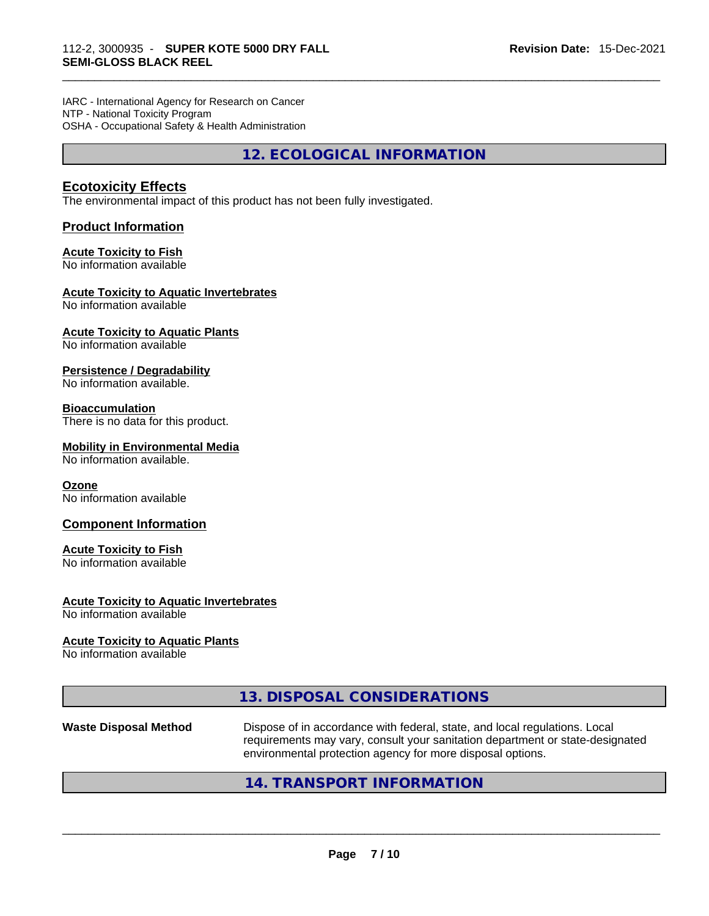IARC - International Agency for Research on Cancer NTP - National Toxicity Program OSHA - Occupational Safety & Health Administration

**12. ECOLOGICAL INFORMATION** 

#### **Ecotoxicity Effects**

The environmental impact of this product has not been fully investigated.

#### **Product Information**

#### **Acute Toxicity to Fish**

No information available

#### **Acute Toxicity to Aquatic Invertebrates**

No information available

#### **Acute Toxicity to Aquatic Plants** No information available

#### **Persistence / Degradability**

No information available.

#### **Bioaccumulation**

There is no data for this product.

#### **Mobility in Environmental Media**

No information available.

#### **Ozone**

No information available

#### **Component Information**

#### **Acute Toxicity to Fish**

No information available

#### **Acute Toxicity to Aquatic Invertebrates**

No information available

#### **Acute Toxicity to Aquatic Plants**

No information available

#### **13. DISPOSAL CONSIDERATIONS**

**Waste Disposal Method** Dispose of in accordance with federal, state, and local regulations. Local requirements may vary, consult your sanitation department or state-designated environmental protection agency for more disposal options.

#### **14. TRANSPORT INFORMATION**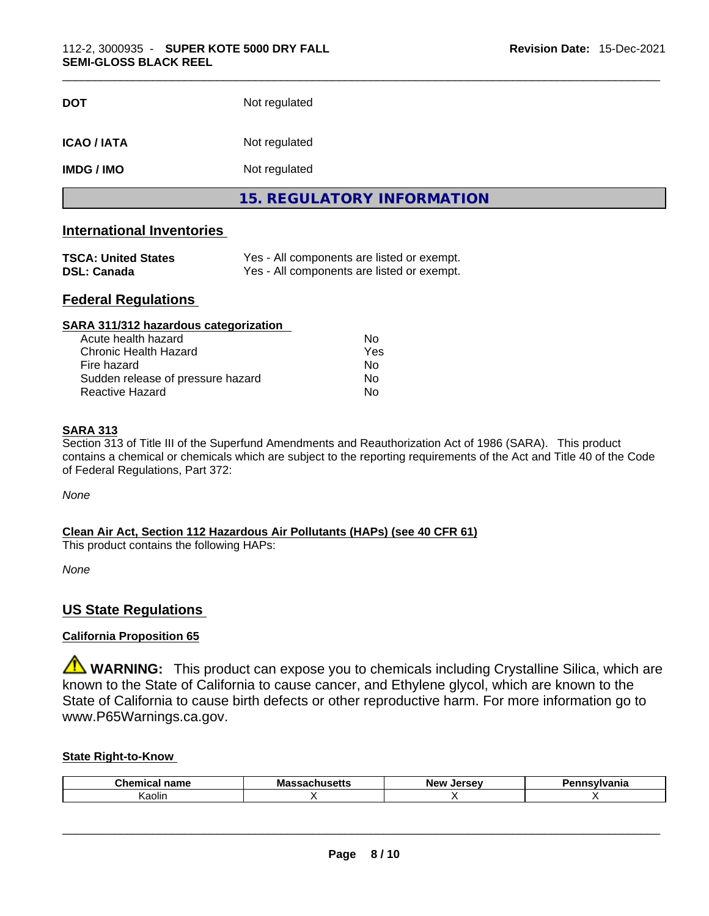| <b>DOT</b>        | Not regulated                     |
|-------------------|-----------------------------------|
| <b>ICAO/IATA</b>  | Not regulated                     |
| <b>IMDG / IMO</b> | Not regulated                     |
|                   | <b>15. REGULATORY INFORMATION</b> |
|                   |                                   |

#### **International Inventories**

| <b>TSCA: United States</b> | Yes - All components are listed or exempt. |
|----------------------------|--------------------------------------------|
| DSL: Canada                | Yes - All components are listed or exempt. |

#### **Federal Regulations**

| SARA 311/312 hazardous categorization |                |  |
|---------------------------------------|----------------|--|
| Acute health hazard                   | Nο             |  |
| Chronic Health Hazard                 | Yes            |  |
| Fire hazard                           | N <sub>0</sub> |  |
| Sudden release of pressure hazard     | No             |  |
| Reactive Hazard                       | No             |  |

#### **SARA 313**

Section 313 of Title III of the Superfund Amendments and Reauthorization Act of 1986 (SARA). This product contains a chemical or chemicals which are subject to the reporting requirements of the Act and Title 40 of the Code of Federal Regulations, Part 372:

*None*

#### **Clean Air Act,Section 112 Hazardous Air Pollutants (HAPs) (see 40 CFR 61)**

This product contains the following HAPs:

*None*

#### **US State Regulations**

#### **California Proposition 65**

**WARNING:** This product can expose you to chemicals including Crystalline Silica, which are known to the State of California to cause cancer, and Ethylene glycol, which are known to the State of California to cause birth defects or other reproductive harm. For more information go to www.P65Warnings.ca.gov.

#### **State Right-to-Know**

| Chemic<br>name<br>111.71 | Mas<br>всты<br>-- | New<br>Jersev | 'dilla |
|--------------------------|-------------------|---------------|--------|
| $\cdot$ .<br>Kaolin      |                   |               |        |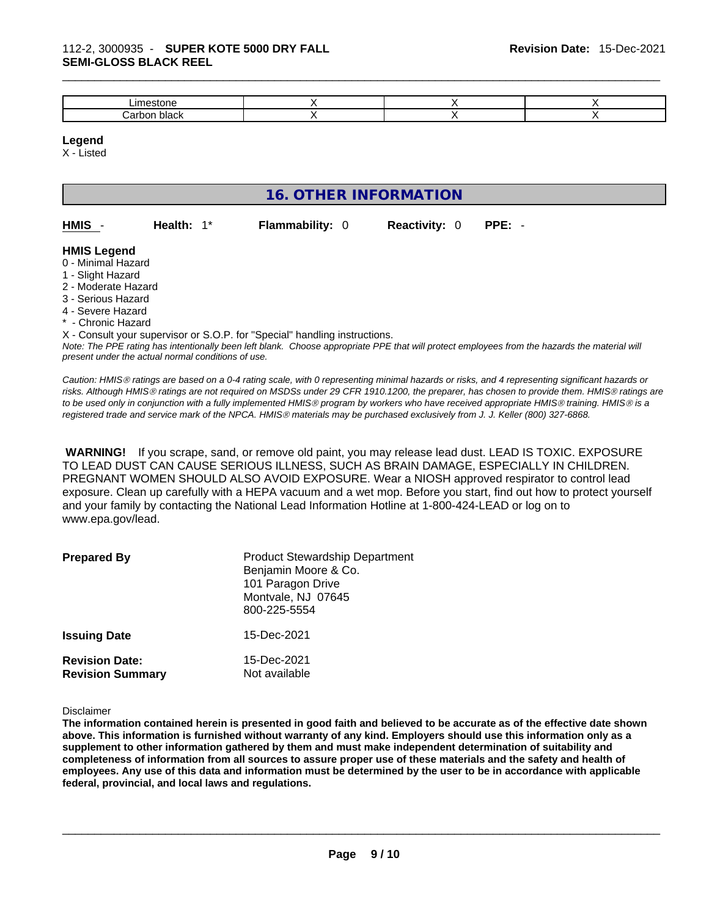| `                                  |  |  |
|------------------------------------|--|--|
| <u>'הר</u><br>ימ<br>`<br>viaun<br> |  |  |

#### **Legend**

X - Listed

| <b>16. OTHER INFORMATION</b>                                                                                                                          |                                                    |                                                                                                                               |                      |                                                                                                                                                                                                                                                                                                                                                                                                                                             |
|-------------------------------------------------------------------------------------------------------------------------------------------------------|----------------------------------------------------|-------------------------------------------------------------------------------------------------------------------------------|----------------------|---------------------------------------------------------------------------------------------------------------------------------------------------------------------------------------------------------------------------------------------------------------------------------------------------------------------------------------------------------------------------------------------------------------------------------------------|
| HMIS                                                                                                                                                  | Health: $1^*$                                      | <b>Flammability: 0</b>                                                                                                        | <b>Reactivity: 0</b> | $PPE: -$                                                                                                                                                                                                                                                                                                                                                                                                                                    |
| <b>HMIS Legend</b><br>0 - Minimal Hazard<br>1 - Slight Hazard<br>2 - Moderate Hazard<br>3 - Serious Hazard<br>4 - Severe Hazard<br>* - Chronic Hazard | present under the actual normal conditions of use. | X - Consult your supervisor or S.O.P. for "Special" handling instructions.                                                    |                      | Note: The PPE rating has intentionally been left blank. Choose appropriate PPE that will protect employees from the hazards the material will                                                                                                                                                                                                                                                                                               |
|                                                                                                                                                       |                                                    | registered trade and service mark of the NPCA. HMIS® materials may be purchased exclusively from J. J. Keller (800) 327-6868. |                      | Caution: HMIS® ratings are based on a 0-4 rating scale, with 0 representing minimal hazards or risks, and 4 representing significant hazards or<br>risks. Although HMIS® ratings are not required on MSDSs under 29 CFR 1910.1200, the preparer, has chosen to provide them. HMIS® ratings are<br>to be used only in conjunction with a fully implemented HMIS® program by workers who have received appropriate HMIS® training. HMIS® is a |

 **WARNING!** If you scrape, sand, or remove old paint, you may release lead dust. LEAD IS TOXIC. EXPOSURE TO LEAD DUST CAN CAUSE SERIOUS ILLNESS, SUCH AS BRAIN DAMAGE, ESPECIALLY IN CHILDREN. PREGNANT WOMEN SHOULD ALSO AVOID EXPOSURE.Wear a NIOSH approved respirator to control lead exposure. Clean up carefully with a HEPA vacuum and a wet mop. Before you start, find out how to protect yourself and your family by contacting the National Lead Information Hotline at 1-800-424-LEAD or log on to www.epa.gov/lead.

| <b>Prepared By</b>                               | <b>Product Stewardship Department</b><br>Benjamin Moore & Co.<br>101 Paragon Drive<br>Montvale, NJ 07645<br>800-225-5554 |
|--------------------------------------------------|--------------------------------------------------------------------------------------------------------------------------|
| <b>Issuing Date</b>                              | 15-Dec-2021                                                                                                              |
| <b>Revision Date:</b><br><b>Revision Summary</b> | 15-Dec-2021<br>Not available                                                                                             |

Disclaimer

The information contained herein is presented in good faith and believed to be accurate as of the effective date shown above. This information is furnished without warranty of any kind. Employers should use this information only as a **supplement to other information gathered by them and must make independent determination of suitability and** completeness of information from all sources to assure proper use of these materials and the safety and health of employees. Any use of this data and information must be determined by the user to be in accordance with applicable **federal, provincial, and local laws and regulations.**